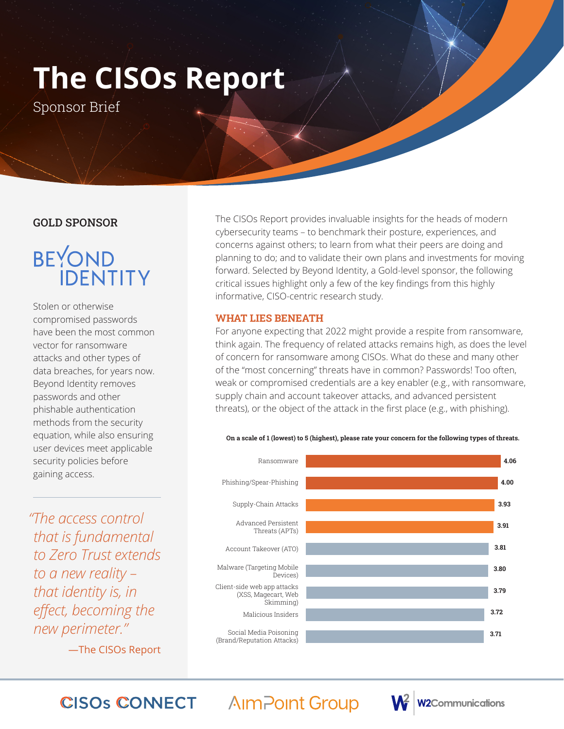# **The CISOs Report**

Sponsor Brief

### GOLD SPONSOR

## **BEYOND IDENTITY**

Stolen or otherwise compromised passwords have been the most common vector for ransomware attacks and other types of data breaches, for years now. Beyond Identity removes passwords and other phishable authentication methods from the security equation, while also ensuring user devices meet applicable security policies before gaining access.

*"The access control that is fundamental to Zero Trust extends to a new reality – that identity is, in effect, becoming the new perimeter."* 

—The CISOs Report

The CISOs Report provides invaluable insights for the heads of modern cybersecurity teams – to benchmark their posture, experiences, and concerns against others; to learn from what their peers are doing and planning to do; and to validate their own plans and investments for moving forward. Selected by Beyond Identity, a Gold-level sponsor, the following critical issues highlight only a few of the key findings from this highly informative, CISO-centric research study.

### WHAT LIES BENEATH

For anyone expecting that 2022 might provide a respite from ransomware, think again. The frequency of related attacks remains high, as does the level of concern for ransomware among CISOs. What do these and many other of the "most concerning" threats have in common? Passwords! Too often, weak or compromised credentials are a key enabler (e.g., with ransomware, supply chain and account takeover attacks, and advanced persistent threats), or the object of the attack in the first place (e.g., with phishing).





**2Communications** 

#### **AImPoint Group CISOS CONNECT**